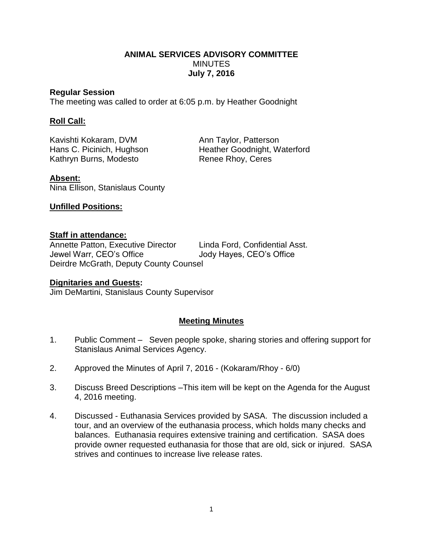# **ANIMAL SERVICES ADVISORY COMMITTEE MINUTES July 7, 2016**

#### **Regular Session**

The meeting was called to order at 6:05 p.m. by Heather Goodnight

# **Roll Call:**

Kavishti Kokaram, DVM Ann Taylor, Patterson Kathryn Burns, Modesto Renee Rhoy, Ceres

Hans C. Picinich, Hughson Heather Goodnight, Waterford

**Absent:** Nina Ellison, Stanislaus County

### **Unfilled Positions:**

### **Staff in attendance:**

Annette Patton, Executive Director Linda Ford, Confidential Asst. Jewel Warr, CEO's Office Jody Hayes, CEO's Office Deirdre McGrath, Deputy County Counsel

### **Dignitaries and Guests:**

Jim DeMartini, Stanislaus County Supervisor

### **Meeting Minutes**

- 1. Public Comment Seven people spoke, sharing stories and offering support for Stanislaus Animal Services Agency.
- 2. Approved the Minutes of April 7, 2016 (Kokaram/Rhoy 6/0)
- 3. Discuss Breed Descriptions –This item will be kept on the Agenda for the August 4, 2016 meeting.
- 4. Discussed Euthanasia Services provided by SASA. The discussion included a tour, and an overview of the euthanasia process, which holds many checks and balances. Euthanasia requires extensive training and certification. SASA does provide owner requested euthanasia for those that are old, sick or injured. SASA strives and continues to increase live release rates.